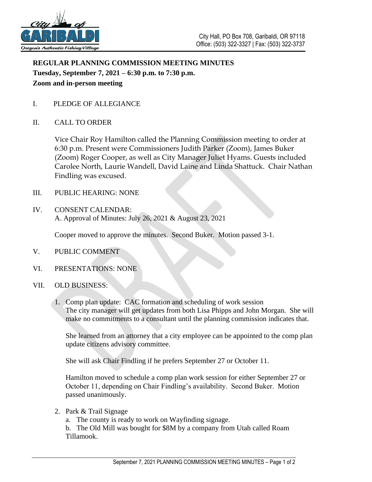

## **REGULAR PLANNING COMMISSION MEETING MINUTES Tuesday, September 7, 2021 – 6:30 p.m. to 7:30 p.m. Zoom and in-person meeting**

- I. PLEDGE OF ALLEGIANCE
- II. CALL TO ORDER

Vice Chair Roy Hamilton called the Planning Commission meeting to order at 6:30 p.m. Present were Commissioners Judith Parker (Zoom), James Buker (Zoom) Roger Cooper, as well as City Manager Juliet Hyams. Guests included Carolee North, Laurie Wandell, David Laine and Linda Shattuck. Chair Nathan Findling was excused.

- III. PUBLIC HEARING: NONE
- IV. CONSENT CALENDAR: A. Approval of Minutes: July 26, 2021 & August 23, 2021

Cooper moved to approve the minutes. Second Buker. Motion passed 3-1.

- V. PUBLIC COMMENT
- VI. PRESENTATIONS: NONE
- VII. OLD BUSINESS:
	- 1. Comp plan update: CAC formation and scheduling of work session The city manager will get updates from both Lisa Phipps and John Morgan. She will make no commitments to a consultant until the planning commission indicates that.

She learned from an attorney that a city employee can be appointed to the comp plan update citizens advisory committee.

She will ask Chair Findling if he prefers September 27 or October 11.

Hamilton moved to schedule a comp plan work session for either September 27 or October 11, depending on Chair Findling's availability. Second Buker. Motion passed unanimously.

2. Park & Trail Signage

a. The county is ready to work on Wayfinding signage.

b. The Old Mill was bought for \$8M by a company from Utah called Roam Tillamook.